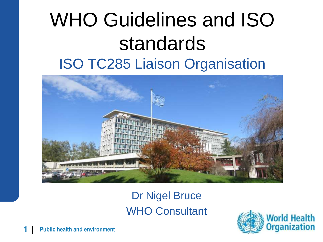### WHO Guidelines and ISO standards ISO TC285 Liaison Organisation



Dr Nigel Bruce WHO Consultant

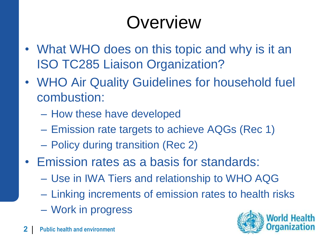## **Overview**

- What WHO does on this topic and why is it an ISO TC285 Liaison Organization?
- WHO Air Quality Guidelines for household fuel combustion:
	- How these have developed
	- Emission rate targets to achieve AQGs (Rec 1)
	- Policy during transition (Rec 2)
- Emission rates as a basis for standards:
	- Use in IWA Tiers and relationship to WHO AQG
	- Linking increments of emission rates to health risks
	- Work in progress

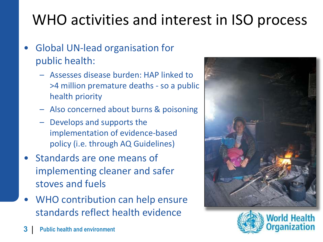### WHO activities and interest in ISO process

- Global UN-lead organisation for public health:
	- Assesses disease burden: HAP linked to >4 million premature deaths - so a public health priority
	- Also concerned about burns & poisoning
	- Develops and supports the implementation of evidence-based policy (i.e. through AQ Guidelines)
- Standards are one means of implementing cleaner and safer stoves and fuels
- WHO contribution can help ensure standards reflect health evidence



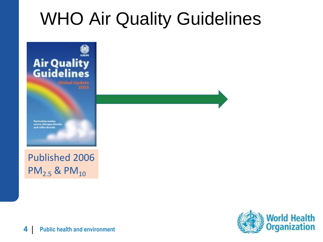### WHO Air Quality Guidelines



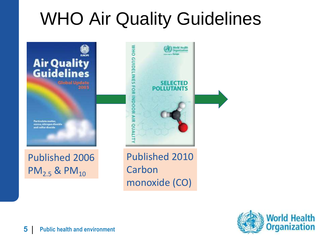## WHO Air Quality Guidelines



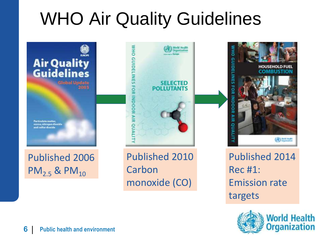## WHO Air Quality Guidelines



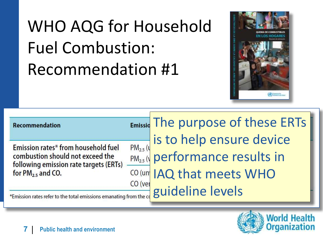## WHO AQG for Household Fuel Combustion: Recommendation #1



**Recommendation** 

Emission rates\* from household fuel combustion should not exceed the following emission rate targets (ERTs) for  $PM<sub>2.5</sub>$  and CO.

Emissia The purpose of these ERTs is to help ensure device  $PM<sub>2.5</sub>$  (u performance results in  $PM<sub>2.5</sub>$  ( $\sqrt{ }$ CO (un IAQ that meets WHO CO (ver guideline levels



\*Emission rates refer to the total emissions emanating from the co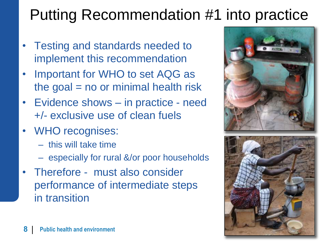### Putting Recommendation #1 into practice

- Testing and standards needed to implement this recommendation
- Important for WHO to set AQG as the goal  $=$  no or minimal health risk
- Evidence shows in practice need +/- exclusive use of clean fuels
- WHO recognises:
	- this will take time
	- especially for rural &/or poor households
- Therefore must also consider performance of intermediate steps in transition

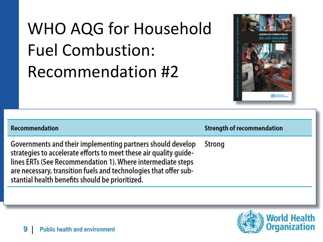## WHO AQG for Household Fuel Combustion: Recommendation #2



| Recommendation                                                                                                                                                                                                                                                                                                        | <b>Strength of recommendation</b> |
|-----------------------------------------------------------------------------------------------------------------------------------------------------------------------------------------------------------------------------------------------------------------------------------------------------------------------|-----------------------------------|
| Governments and their implementing partners should develop<br>strategies to accelerate efforts to meet these air quality guide-<br>lines ERTs (See Recommendation 1). Where intermediate steps<br>are necessary, transition fuels and technologies that offer sub-<br>stantial health benefits should be prioritized. | <b>Strong</b>                     |
|                                                                                                                                                                                                                                                                                                                       |                                   |

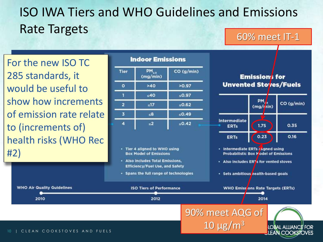### ISO IWA Tiers and WHO Guidelines and Emissions Rate Targets 60% meet IT-1

Air Quality For the new ISO TC 285 standards, it would be useful to show how increments of emission rate relate to (increments of) health risks (WHO Rec #2)

#### **Indoor Emissions**



- Tier 4 aligned to WHO using **Box Model of Emissions**
- Also includes Total Emissions, **Efficiency/Fuel Use, and Safety**
- Spans the full range of technologies





- · Intermediate ERTs / hgned using **Probabilistic Box Model of Emissions**
- Also includes ER7s for vented stoves
- · Sets ambitious health-based goals

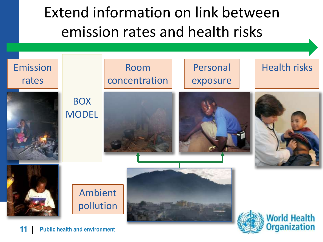Extend information on link between emission rates and health risks

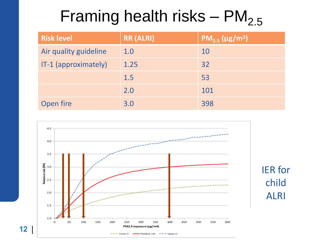### Framing health risks –  $PM<sub>2.5</sub>$

| <b>Risk level</b>     | <b>RR (ALRI)</b> | $PM_{2.5}$ (µg/m <sup>3</sup> ) |
|-----------------------|------------------|---------------------------------|
| Air quality guideline | 1.0              | 10                              |
| IT-1 (approximately)  | 1.25             | 32                              |
|                       | 1.5              | 53                              |
|                       | 2.0              | 101                             |
| Open fire             | 3.0              | 398                             |

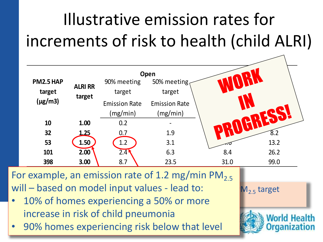## Illustrative emission rates for increments of risk to health (child ALRI)

|              |                          |                      | Open                 |      |      |
|--------------|--------------------------|----------------------|----------------------|------|------|
| PM2.5 HAP    |                          | 90% meeting          | 50% meeting          |      |      |
| target       | <b>ALRI RR</b><br>target | target               | target               |      |      |
| $(\mu g/m3)$ |                          | <b>Emission Rate</b> | <b>Emission Rate</b> |      |      |
|              |                          | (mg/min)             | (mg/min)             |      |      |
| 10           | 1.00                     | 0.2                  |                      |      |      |
| 32           | 1.25                     | 0.7                  | 1.9                  |      | 8.2  |
| 53           | 1.50                     | 1.2                  | 3.1                  |      | 13.2 |
| 101          | 2.00                     | $2.4$ <sup>1</sup>   | 6.3                  | 8.4  | 26.2 |
| 398          | 3.00                     | 8.7                  | 23.5                 | 31.0 | 99.0 |
|              |                          |                      |                      |      |      |

will – based on model input values - lead to:  $\sqrt{M_{2.5}}$  target For example, an emission rate of 1.2 mg/min PM<sub>2.5</sub>

- 10% of homes experiencing a 50% or more increase in risk of child pneumonia
- **90% homes experiencing risk below that level**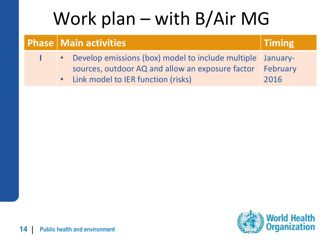## Work plan – with B/Air MG

|  | <b>Phase   Main activities  </b>                                                                                                                         | $\mid$ Timing           |
|--|----------------------------------------------------------------------------------------------------------------------------------------------------------|-------------------------|
|  | • Develop emissions (box) model to include multiple January-<br>sources, outdoor AQ and allow an exposure factor<br>. Link model to IER function (risks) | <b>February</b><br>2016 |

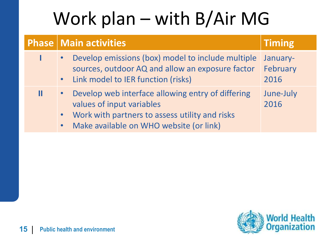# Work plan – with B/Air MG

| <b>Phase   Main activities</b>                                                                                                                                                  | <b>Timing</b>                |
|---------------------------------------------------------------------------------------------------------------------------------------------------------------------------------|------------------------------|
| • Develop emissions (box) model to include multiple<br>sources, outdoor AQ and allow an exposure factor<br>• Link model to IER function (risks)                                 | January-<br>February<br>2016 |
| Develop web interface allowing entry of differing<br>values of input variables<br>• Work with partners to assess utility and risks<br>• Make available on WHO website (or link) | June-July<br>2016            |

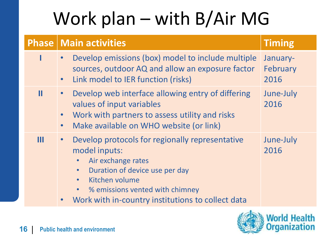# Work plan – with B/Air MG

|   | <b>Phase   Main activities</b>                                                                                                                                                                                                                                                                                   | <b>Timing</b>                |
|---|------------------------------------------------------------------------------------------------------------------------------------------------------------------------------------------------------------------------------------------------------------------------------------------------------------------|------------------------------|
|   | Develop emissions (box) model to include multiple<br>$\bullet$<br>sources, outdoor AQ and allow an exposure factor<br>Link model to IER function (risks)<br>$\bullet$                                                                                                                                            | January-<br>February<br>2016 |
| Ш | Develop web interface allowing entry of differing<br>$\bullet$<br>values of input variables<br>Work with partners to assess utility and risks<br>$\bullet$<br>Make available on WHO website (or link)<br>$\bullet$                                                                                               | June-July<br>2016            |
| Ш | Develop protocols for regionally representative<br>$\bullet$<br>model inputs:<br>Air exchange rates<br>$\bullet$<br>Duration of device use per day<br>$\bullet$<br>Kitchen volume<br>$\bullet$<br>% emissions vented with chimney<br>$\bullet$<br>Work with in-country institutions to collect data<br>$\bullet$ | June-July<br>2016            |

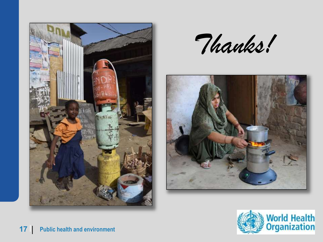

*Thanks!*



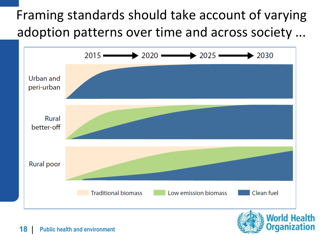### Framing standards should take account of varying adoption patterns over time and across society ...